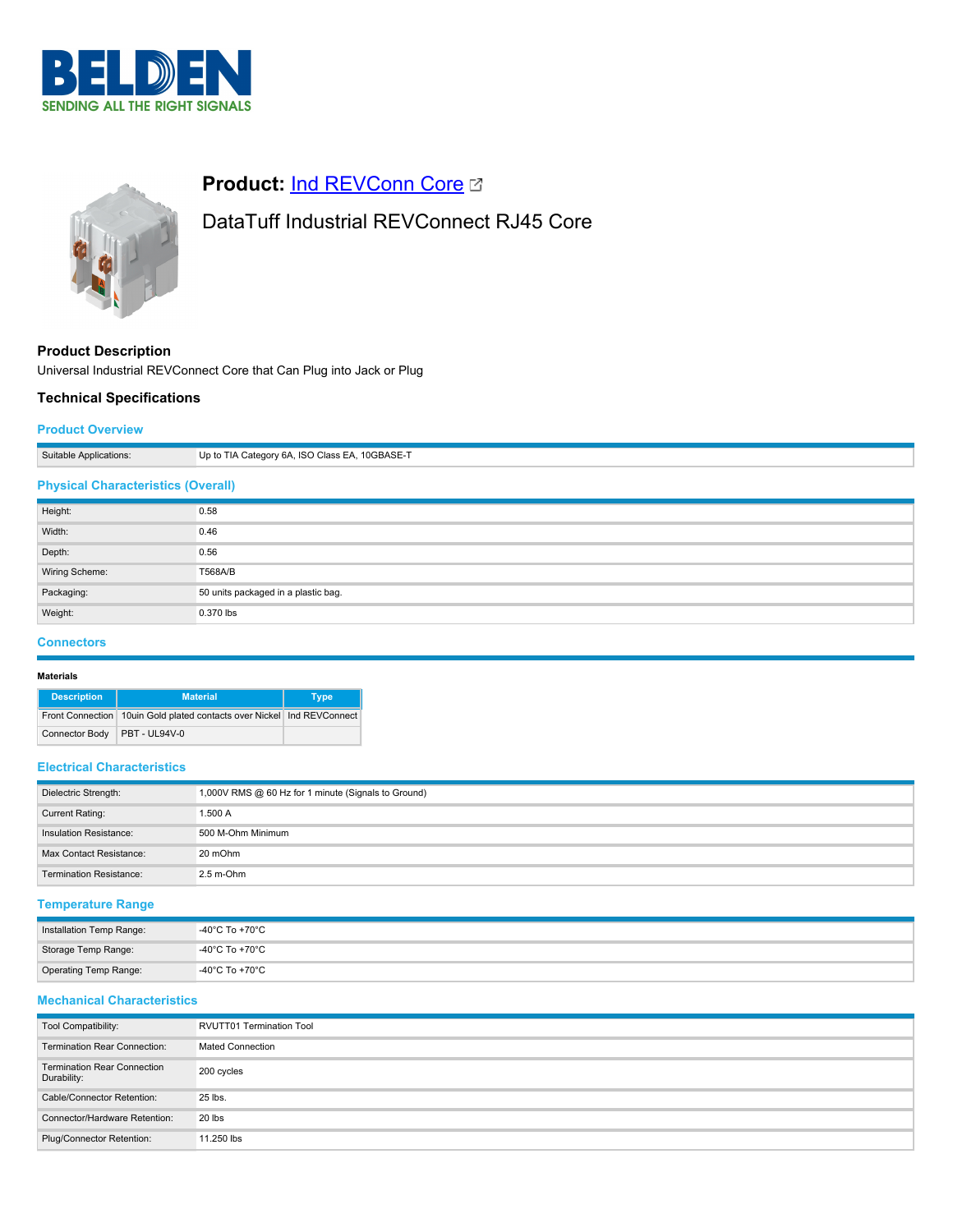



# **Product: [Ind REVConn Core](https://catalog.belden.com/index.cfm?event=pd&p=PF_IndREVConnCore&tab=downloads) C**

# DataTuff Industrial REVConnect RJ45 Core

**Product Description**

Universal Industrial REVConnect Core that Can Plug into Jack or Plug

## **Technical Specifications**

## **Product Overview**

| Suitable Applications:                    | Up to TIA Category 6A, ISO Class EA, 10GBASE-T |  |
|-------------------------------------------|------------------------------------------------|--|
| <b>Physical Characteristics (Overall)</b> |                                                |  |
| Height:                                   | 0.58                                           |  |
| Width:                                    | 0.46                                           |  |
| Depth:                                    | 0.56                                           |  |

| <b>DUPUL.</b>  | v.vv                                |
|----------------|-------------------------------------|
| Wiring Scheme: | <b>T568A/B</b>                      |
| Packaging:     | 50 units packaged in a plastic bag. |
| Weight:        | $0.370$ lbs                         |
|                |                                     |

## **Connectors**

#### **Materials**

| <b>Description</b>    | <b>Material</b>                                                        | <b>Type</b> |
|-----------------------|------------------------------------------------------------------------|-------------|
|                       | Front Connection 10uin Gold plated contacts over Nickel Ind REVConnect |             |
| <b>Connector Body</b> | <b>PBT - UL94V-0</b>                                                   |             |

## **Electrical Characteristics**

| Dielectric Strength:           | 1,000V RMS @ 60 Hz for 1 minute (Signals to Ground) |
|--------------------------------|-----------------------------------------------------|
| <b>Current Rating:</b>         | 1.500 A                                             |
| Insulation Resistance:         | 500 M-Ohm Minimum                                   |
| Max Contact Resistance:        | 20 mOhm                                             |
| <b>Termination Resistance:</b> | $2.5$ m-Ohm                                         |

## **Temperature Range**

| Installation Temp Range: | -40°C To +70°C |
|--------------------------|----------------|
| Storage Temp Range:      | -40°C To +70°C |
| Operating Temp Range:    | -40°C To +70°C |

# **Mechanical Characteristics**

| Tool Compatibility:                               | <b>RVUTT01 Termination Tool</b> |
|---------------------------------------------------|---------------------------------|
| <b>Termination Rear Connection:</b>               | <b>Mated Connection</b>         |
| <b>Termination Rear Connection</b><br>Durability: | 200 cycles                      |
| Cable/Connector Retention:                        | 25 lbs.                         |
| Connector/Hardware Retention:                     | 20 lbs                          |
| Plug/Connector Retention:                         | 11.250 lbs                      |